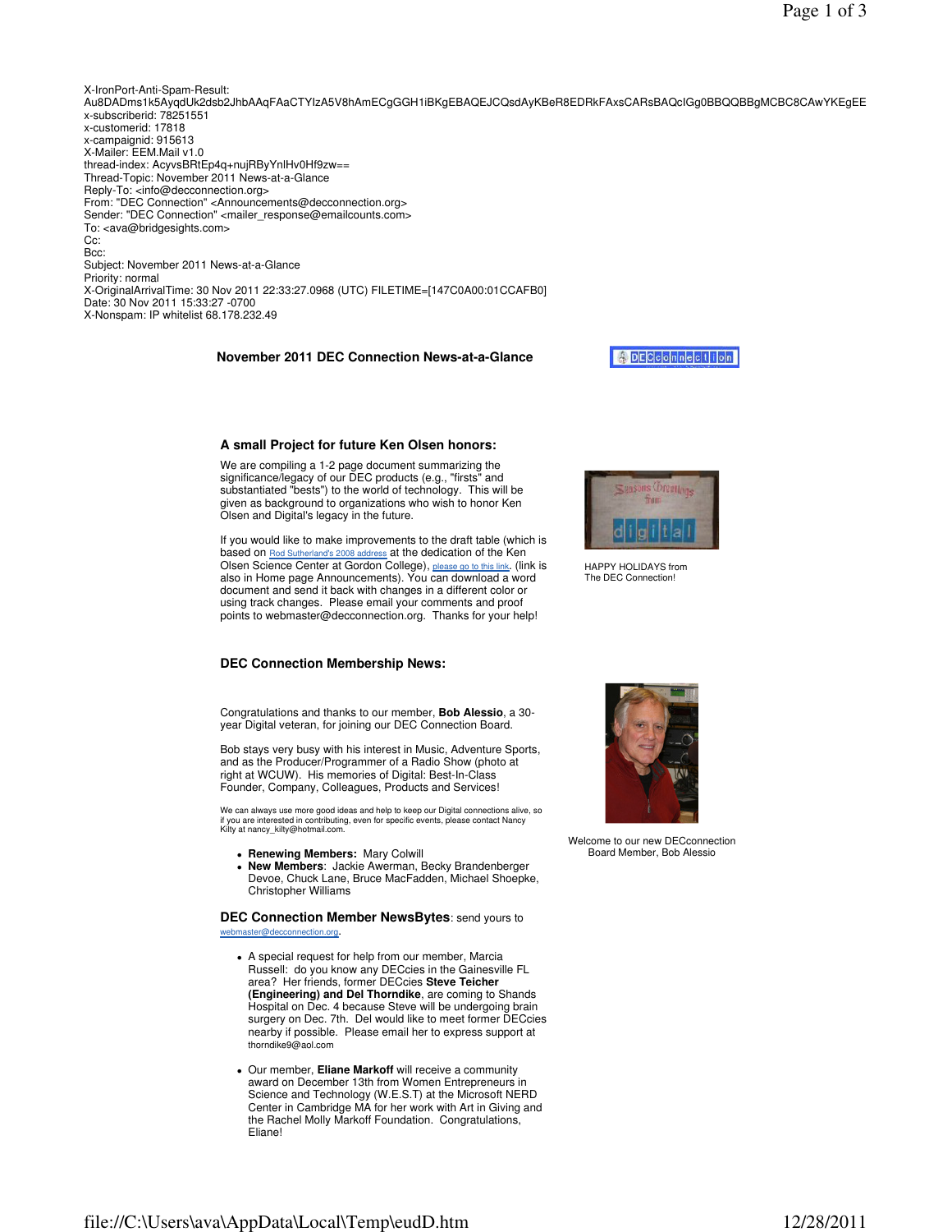### **A small Project for future Ken Olsen honors:**

We are compiling a 1-2 page document summarizing the significance/legacy of our DEC products (e.g., "firsts" and substantiated "bests") to the world of technology. This will be given as background to organizations who wish to honor Ken Olsen and Digital's legacy in the future.

If you would like to make improvements to the draft table (which is based on Rod Sutherland's 2008 address at the dedication of the Ken Olsen Science Center at Gordon College), please go to this link. (link is also in Home page Announcements). You can download a word document and send it back with changes in a different color or using track changes. Please email your comments and proof points to webmaster@decconnection.org. Thanks for your help!



HAPPY HOLIDAYS from The DEC Connection!

## **DEC Connection Membership News:**

Congratulations and thanks to our member, **Bob Alessio**, a 30 year Digital veteran, for joining our DEC Connection Board.

Bob stays very busy with his interest in Music, Adventure Sports, and as the Producer/Programmer of a Radio Show (photo at right at WCUW). His memories of Digital: Best-In-Class Founder, Company, Colleagues, Products and Services!

We can always use more good ideas and help to keep our Digital connections alive, so if you are interested in contributing, even for specific events, please contact Nancy Kilty at nancy\_kilty@hotmail.com.

- **Renewing Members:** Mary Colwill
- **New Members**: Jackie Awerman, Becky Brandenberger Devoe, Chuck Lane, Bruce MacFadden, Michael Shoepke, Christopher Williams

# **DEC Connection Member NewsBytes**: send yours to

webmaster@decconnection.org.

- A special request for help from our member, Marcia Russell: do you know any DECcies in the Gainesville FL area? Her friends, former DECcies **Steve Teicher (Engineering) and Del Thorndike**, are coming to Shands Hospital on Dec. 4 because Steve will be undergoing brain surgery on Dec. 7th. Del would like to meet former DECcies nearby if possible. Please email her to express support at thorndike9@aol.com
- Our member, **Eliane Markoff** will receive a community award on December 13th from Women Entrepreneurs in Science and Technology (W.E.S.T) at the Microsoft NERD Center in Cambridge MA for her work with Art in Giving and the Rachel Molly Markoff Foundation. Congratulations, Eliane!



Welcome to our new DECconnection Board Member, Bob Alessio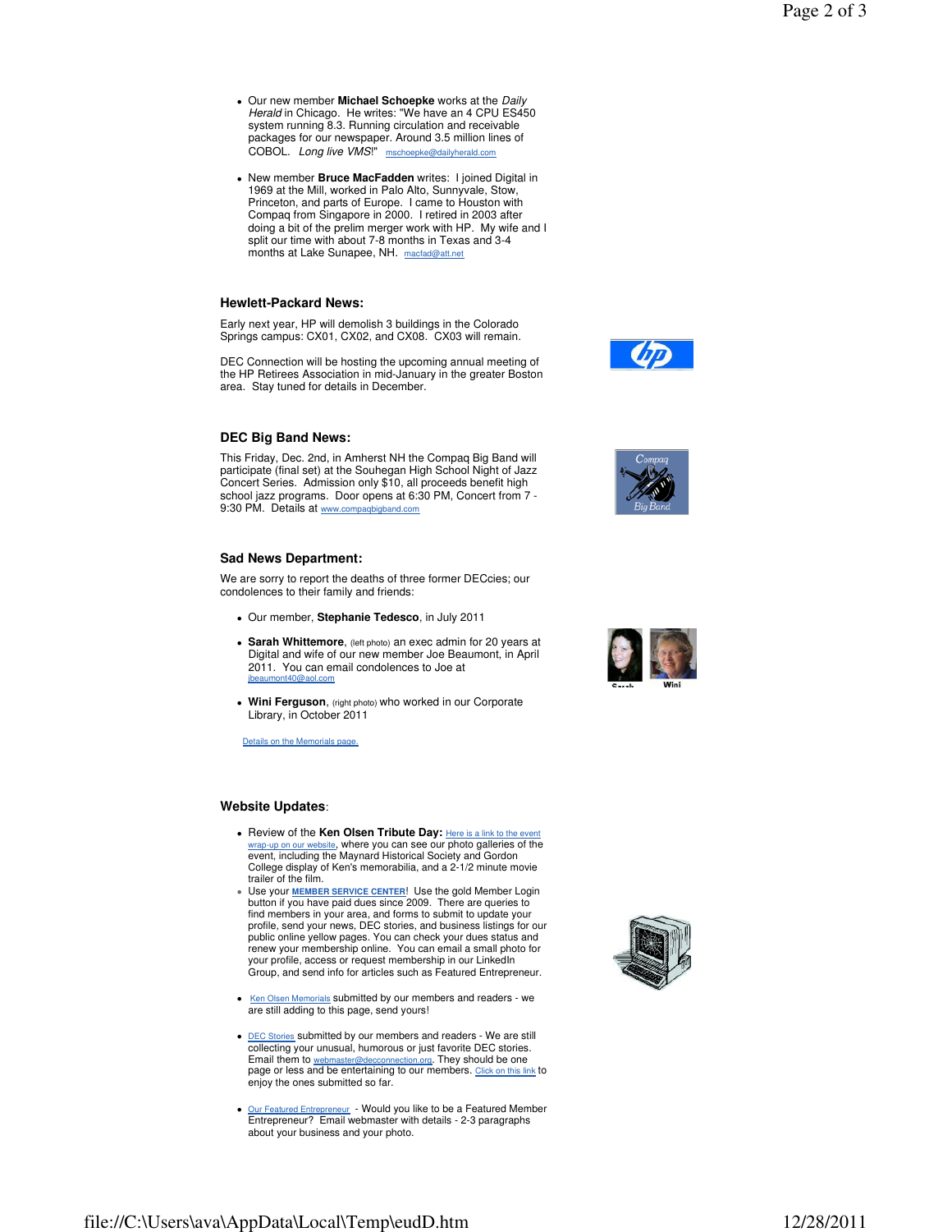- Our new member **Michael Schoepke** works at the Daily Herald in Chicago. He writes: "We have an 4 CPU ES450 system running 8.3. Running circulation and receivable packages for our newspaper. Around 3.5 million lines of COBOL. Long live VMS!" mschoepke@dailyherald.com
- New member **Bruce MacFadden** writes: I joined Digital in 1969 at the Mill, worked in Palo Alto, Sunnyvale, Stow, Princeton, and parts of Europe. I came to Houston with Compaq from Singapore in 2000. I retired in 2003 after doing a bit of the prelim merger work with HP. My wife and I split our time with about 7-8 months in Texas and 3-4 months at Lake Sunapee, NH. macfad@att.net

#### **Hewlett-Packard News:**

Early next year, HP will demolish 3 buildings in the Colorado Springs campus: CX01, CX02, and CX08. CX03 will remain.

DEC Connection will be hosting the upcoming annual meeting of the HP Retirees Association in mid-January in the greater Boston area. Stay tuned for details in December.

#### **DEC Big Band News:**

This Friday, Dec. 2nd, in Amherst NH the Compaq Big Band will participate (final set) at the Souhegan High School Night of Jazz Concert Series. Admission only \$10, all proceeds benefit high school jazz programs. Door opens at 6:30 PM, Concert from 7 - 9:30 PM. Details at www.

#### **Sad News Department:**

We are sorry to report the deaths of three former DECcies; our condolences to their family and friends:

- Our member, **Stephanie Tedesco**, in July 2011
- **Sarah Whittemore**, (left photo) an exec admin for 20 years at Digital and wife of our new member Joe Beaumont, in April 2011. You can email condolences to Joe at jbeaumont40@aol.com
- **Wini Ferguson**, (right photo) who worked in our Corporate Library, in October 2011

Details on the Memorials page.

#### **Website Updates**:

- **Review of the Ken Olsen Tribute Day: Here is a link to the event of the Art Containst Tribute 201** wrap-up on our website, where you can see our photo galleries of the<br>event, including the Maynard Historical Society and Gordon College display of Ken's memorabilia, and a 2-1/2 minute movie trailer of the film.
- Use your **MEMBER SERVICE CENTER**! Use the gold Member Login button if you have paid dues since 2009. There are queries to find members in your area, and forms to submit to update your profile, send your news, DEC stories, and business listings for our public online yellow pages. You can check your dues status and renew your membership online. You can email a small photo for your profile, access or request membership in our LinkedIn Group, and send info for articles such as Featured Entrepreneur.
- Ken Olsen Memorials submitted by our members and readers we are still adding to this page, send yours!
- **DEC Stories submitted by our members and readers We are still** collecting your unusual, humorous or just favorite DEC stories. Email them to webmaster@decconnection.org. They should be one page or less and be entertaining to our members. Click on this link to enjoy the ones submitted so far.
- Our Featured Entrepreneur Would you like to be a Featured Member Entrepreneur? Email webmaster with details 2-3 paragraphs about your business and your photo.